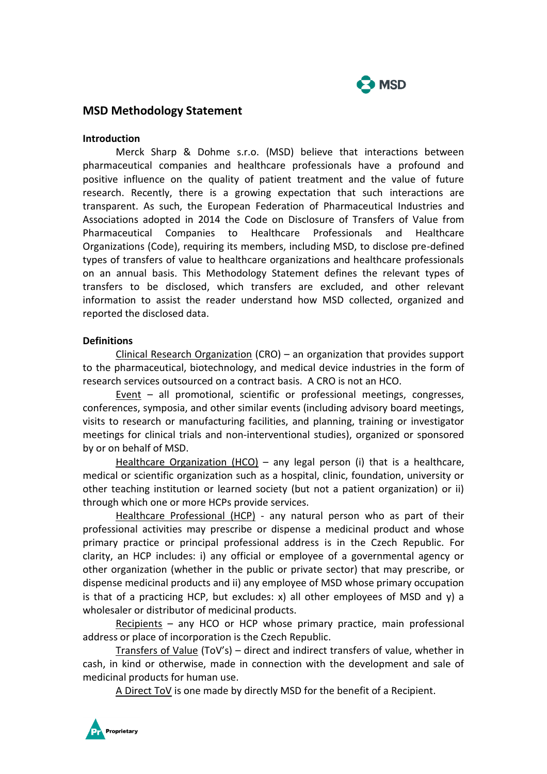

# **MSD Methodology Statement**

#### **Introduction**

Merck Sharp & Dohme s.r.o. (MSD) believe that interactions between pharmaceutical companies and healthcare professionals have a profound and positive influence on the quality of patient treatment and the value of future research. Recently, there is a growing expectation that such interactions are transparent. As such, the European Federation of Pharmaceutical Industries and Associations adopted in 2014 the Code on Disclosure of Transfers of Value from Pharmaceutical Companies to Healthcare Professionals and Healthcare Organizations (Code), requiring its members, including MSD, to disclose pre-defined types of transfers of value to healthcare organizations and healthcare professionals on an annual basis. This Methodology Statement defines the relevant types of transfers to be disclosed, which transfers are excluded, and other relevant information to assist the reader understand how MSD collected, organized and reported the disclosed data.

#### **Definitions**

Clinical Research Organization (CRO) – an organization that provides support to the pharmaceutical, biotechnology, and medical device industries in the form of research services outsourced on a contract basis. A CRO is not an HCO.

Event – all promotional, scientific or professional meetings, congresses, conferences, symposia, and other similar events (including advisory board meetings, visits to research or manufacturing facilities, and planning, training or investigator meetings for clinical trials and non-interventional studies), organized or sponsored by or on behalf of MSD.

Healthcare Organization (HCO) - any legal person (i) that is a healthcare, medical or scientific organization such as a hospital, clinic, foundation, university or other teaching institution or learned society (but not a patient organization) or ii) through which one or more HCPs provide services.

Healthcare Professional (HCP) - any natural person who as part of their professional activities may prescribe or dispense a medicinal product and whose primary practice or principal professional address is in the Czech Republic. For clarity, an HCP includes: i) any official or employee of a governmental agency or other organization (whether in the public or private sector) that may prescribe, or dispense medicinal products and ii) any employee of MSD whose primary occupation is that of a practicing HCP, but excludes:  $x$ ) all other employees of MSD and  $y$ ) a wholesaler or distributor of medicinal products.

Recipients – any HCO or HCP whose primary practice, main professional address or place of incorporation is the Czech Republic.

Transfers of Value (ToV's) – direct and indirect transfers of value, whether in cash, in kind or otherwise, made in connection with the development and sale of medicinal products for human use.

A Direct ToV is one made by directly MSD for the benefit of a Recipient.

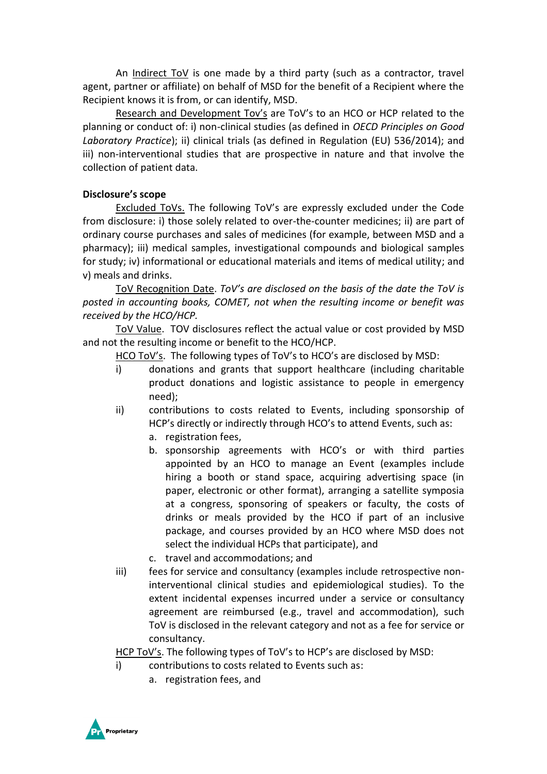An Indirect ToV is one made by a third party (such as a contractor, travel agent, partner or affiliate) on behalf of MSD for the benefit of a Recipient where the Recipient knows it is from, or can identify, MSD.

Research and Development Tov's are ToV's to an HCO or HCP related to the planning or conduct of: i) non-clinical studies (as defined in *OECD Principles on Good Laboratory Practice*); ii) clinical trials (as defined in Regulation (EU) 536/2014); and iii) non-interventional studies that are prospective in nature and that involve the collection of patient data.

# **Disclosure's scope**

Excluded ToVs. The following ToV's are expressly excluded under the Code from disclosure: i) those solely related to over-the-counter medicines; ii) are part of ordinary course purchases and sales of medicines (for example, between MSD and a pharmacy); iii) medical samples, investigational compounds and biological samples for study; iv) informational or educational materials and items of medical utility; and v) meals and drinks.

ToV Recognition Date. *ToV's are disclosed on the basis of the date the ToV is posted in accounting books, COMET, not when the resulting income or benefit was received by the HCO/HCP.*

ToV Value. TOV disclosures reflect the actual value or cost provided by MSD and not the resulting income or benefit to the HCO/HCP.

HCO ToV's. The following types of ToV's to HCO's are disclosed by MSD:

- i) donations and grants that support healthcare (including charitable product donations and logistic assistance to people in emergency need);
- ii) contributions to costs related to Events, including sponsorship of HCP's directly or indirectly through HCO's to attend Events, such as:
	- a. registration fees,
	- b. sponsorship agreements with HCO's or with third parties appointed by an HCO to manage an Event (examples include hiring a booth or stand space, acquiring advertising space (in paper, electronic or other format), arranging a satellite symposia at a congress, sponsoring of speakers or faculty, the costs of drinks or meals provided by the HCO if part of an inclusive package, and courses provided by an HCO where MSD does not select the individual HCPs that participate), and
	- c. travel and accommodations; and
- iii) fees for service and consultancy (examples include retrospective noninterventional clinical studies and epidemiological studies). To the extent incidental expenses incurred under a service or consultancy agreement are reimbursed (e.g., travel and accommodation), such ToV is disclosed in the relevant category and not as a fee for service or consultancy.

HCP ToV's. The following types of ToV's to HCP's are disclosed by MSD:

- i) contributions to costs related to Events such as:
	- a. registration fees, and

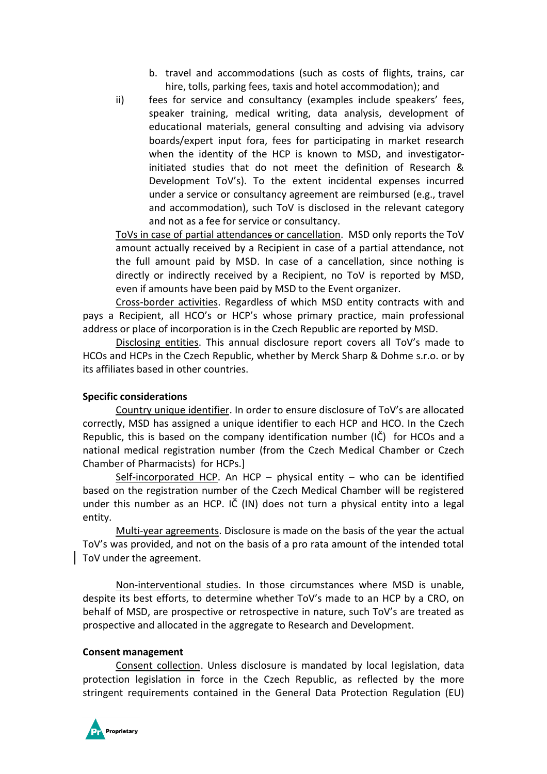- b. travel and accommodations (such as costs of flights, trains, car hire, tolls, parking fees, taxis and hotel accommodation); and
- ii) fees for service and consultancy (examples include speakers' fees, speaker training, medical writing, data analysis, development of educational materials, general consulting and advising via advisory boards/expert input fora, fees for participating in market research when the identity of the HCP is known to MSD, and investigatorinitiated studies that do not meet the definition of Research & Development ToV's). To the extent incidental expenses incurred under a service or consultancy agreement are reimbursed (e.g., travel and accommodation), such ToV is disclosed in the relevant category and not as a fee for service or consultancy.

ToVs in case of partial attendances or cancellation. MSD only reports the ToV amount actually received by a Recipient in case of a partial attendance, not the full amount paid by MSD. In case of a cancellation, since nothing is directly or indirectly received by a Recipient, no ToV is reported by MSD, even if amounts have been paid by MSD to the Event organizer.

Cross-border activities. Regardless of which MSD entity contracts with and pays a Recipient, all HCO's or HCP's whose primary practice, main professional address or place of incorporation is in the Czech Republic are reported by MSD.

Disclosing entities. This annual disclosure report covers all ToV's made to HCOs and HCPs in the Czech Republic, whether by Merck Sharp & Dohme s.r.o. or by its affiliates based in other countries.

## **Specific considerations**

Country unique identifier. In order to ensure disclosure of ToV's are allocated correctly, MSD has assigned a unique identifier to each HCP and HCO. In the Czech Republic, this is based on the company identification number (IČ) for HCOs and a national medical registration number (from the Czech Medical Chamber or Czech Chamber of Pharmacists) for HCPs.]

Self-incorporated HCP. An HCP – physical entity – who can be identified based on the registration number of the Czech Medical Chamber will be registered under this number as an HCP. IČ (IN) does not turn a physical entity into a legal entity.

Multi-year agreements. Disclosure is made on the basis of the year the actual ToV's was provided, and not on the basis of a pro rata amount of the intended total ToV under the agreement.

Non-interventional studies. In those circumstances where MSD is unable, despite its best efforts, to determine whether ToV's made to an HCP by a CRO, on behalf of MSD, are prospective or retrospective in nature, such ToV's are treated as prospective and allocated in the aggregate to Research and Development.

## **Consent management**

Consent collection. Unless disclosure is mandated by local legislation, data protection legislation in force in the Czech Republic, as reflected by the more stringent requirements contained in the General Data Protection Regulation (EU)

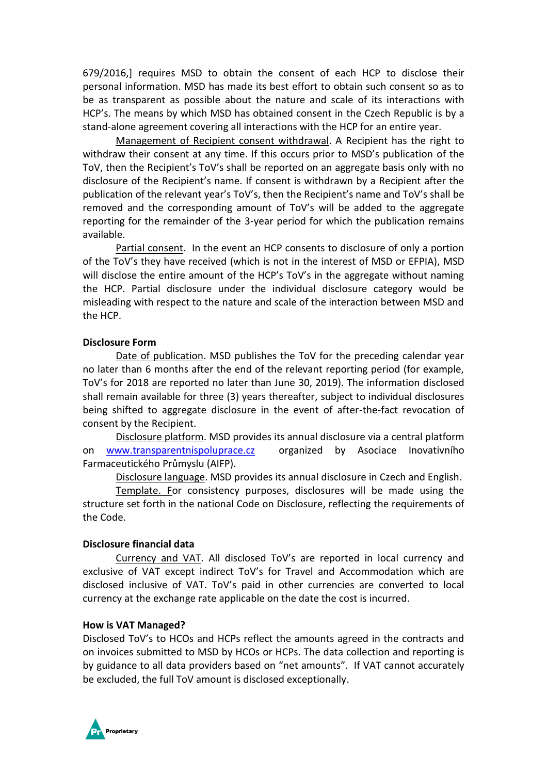679/2016,] requires MSD to obtain the consent of each HCP to disclose their personal information. MSD has made its best effort to obtain such consent so as to be as transparent as possible about the nature and scale of its interactions with HCP's. The means by which MSD has obtained consent in the Czech Republic is by a stand-alone agreement covering all interactions with the HCP for an entire year.

Management of Recipient consent withdrawal. A Recipient has the right to withdraw their consent at any time. If this occurs prior to MSD's publication of the ToV, then the Recipient's ToV's shall be reported on an aggregate basis only with no disclosure of the Recipient's name. If consent is withdrawn by a Recipient after the publication of the relevant year's ToV's, then the Recipient's name and ToV's shall be removed and the corresponding amount of ToV's will be added to the aggregate reporting for the remainder of the 3-year period for which the publication remains available.

Partial consent. In the event an HCP consents to disclosure of only a portion of the ToV's they have received (which is not in the interest of MSD or EFPIA), MSD will disclose the entire amount of the HCP's ToV's in the aggregate without naming the HCP. Partial disclosure under the individual disclosure category would be misleading with respect to the nature and scale of the interaction between MSD and the HCP.

#### **Disclosure Form**

Date of publication. MSD publishes the ToV for the preceding calendar year no later than 6 months after the end of the relevant reporting period (for example, ToV's for 2018 are reported no later than June 30, 2019). The information disclosed shall remain available for three (3) years thereafter, subject to individual disclosures being shifted to aggregate disclosure in the event of after-the-fact revocation of consent by the Recipient.

Disclosure platform. MSD provides its annual disclosure via a central platform on [www.transparentnispoluprace.cz](http://www.transparentnispoluprace.cz/) organized by Asociace Inovativního Farmaceutického Průmyslu (AIFP).

Disclosure language. MSD provides its annual disclosure in Czech and English.

Template. For consistency purposes, disclosures will be made using the structure set forth in the national Code on Disclosure, reflecting the requirements of the Code.

## **Disclosure financial data**

Currency and VAT. All disclosed ToV's are reported in local currency and exclusive of VAT except indirect ToV's for Travel and Accommodation which are disclosed inclusive of VAT. ToV's paid in other currencies are converted to local currency at the exchange rate applicable on the date the cost is incurred.

## **How is VAT Managed?**

Disclosed ToV's to HCOs and HCPs reflect the amounts agreed in the contracts and on invoices submitted to MSD by HCOs or HCPs. The data collection and reporting is by guidance to all data providers based on "net amounts". If VAT cannot accurately be excluded, the full ToV amount is disclosed exceptionally.